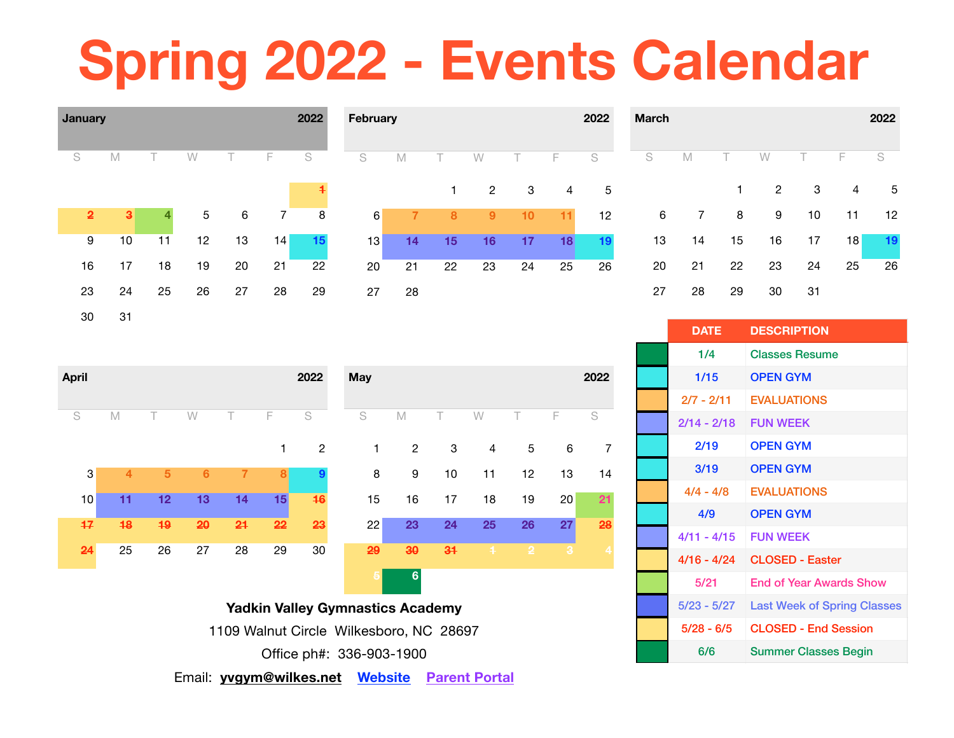# **Spring 2022 - Events Calendar**



| <b>April</b> |                |                |                |                |    | 2022             | <b>May</b>     |                |    |                |                |              | 2022           |
|--------------|----------------|----------------|----------------|----------------|----|------------------|----------------|----------------|----|----------------|----------------|--------------|----------------|
| S            | M              |                | W              | T.             | F  | S                | S              | M              | Τ  | W              | Τ              | F            | S              |
|              |                |                |                |                | 1  | $\overline{2}$   | 1              | $\overline{2}$ | 3  | $\overline{4}$ | 5              | $\,6$        | 7              |
| 3            | $\overline{4}$ | $\overline{5}$ | $6\phantom{a}$ | $\overline{7}$ | 8  | $\boldsymbol{9}$ | 8              | 9              | 10 | 11             | 12             | 13           | 14             |
| 10           | 11             | 12             | 13             | 14             | 15 | 46               | 15             | 16             | 17 | 18             | 19             | 20           | 21             |
| 47           | 48             | 49             | 20             | 24             | 22 | 23               | 22             | 23             | 24 | 25             | 26             | 27           | 28             |
| 24           | 25             | 26             | 27             | 28             | 29 | 30               | 29             | $30^{\circ}$   | 34 | $\ddagger$     | $\overline{2}$ | $\mathbf{3}$ | $\overline{4}$ |
|              |                |                |                |                |    |                  | $\overline{5}$ | $6\phantom{1}$ |    |                |                |              |                |

**Yadkin Valley Gymnastics Academy**  1109 Walnut Circle Wilkesboro, NC 28697 Office ph#: 336-903-1900

| <b>DATE</b>   | <b>DESCRIPTION</b>                 |
|---------------|------------------------------------|
| 1/4           | <b>Classes Resume</b>              |
| 1/15          | <b>OPEN GYM</b>                    |
| $2/7 - 2/11$  | <b>EVALUATIONS</b>                 |
| $2/14 - 2/18$ | <b>FUN WFFK</b>                    |
| 2/19          | <b>OPEN GYM</b>                    |
| 3/19          | <b>OPEN GYM</b>                    |
| $4/4 - 4/8$   | <b>EVALUATIONS</b>                 |
| 4/9           | <b>OPEN GYM</b>                    |
| $4/11 - 4/15$ | <b>FUN WEEK</b>                    |
| 4/16 - 4/24   | <b>CLOSED - Easter</b>             |
| 5/21          | <b>End of Year Awards Show</b>     |
| 5/23 - 5/27   | <b>Last Week of Spring Classes</b> |
| $5/28 - 6/5$  | <b>CLOSED - End Session</b>        |
| 6/6           | <b>Summer Classes Begin</b>        |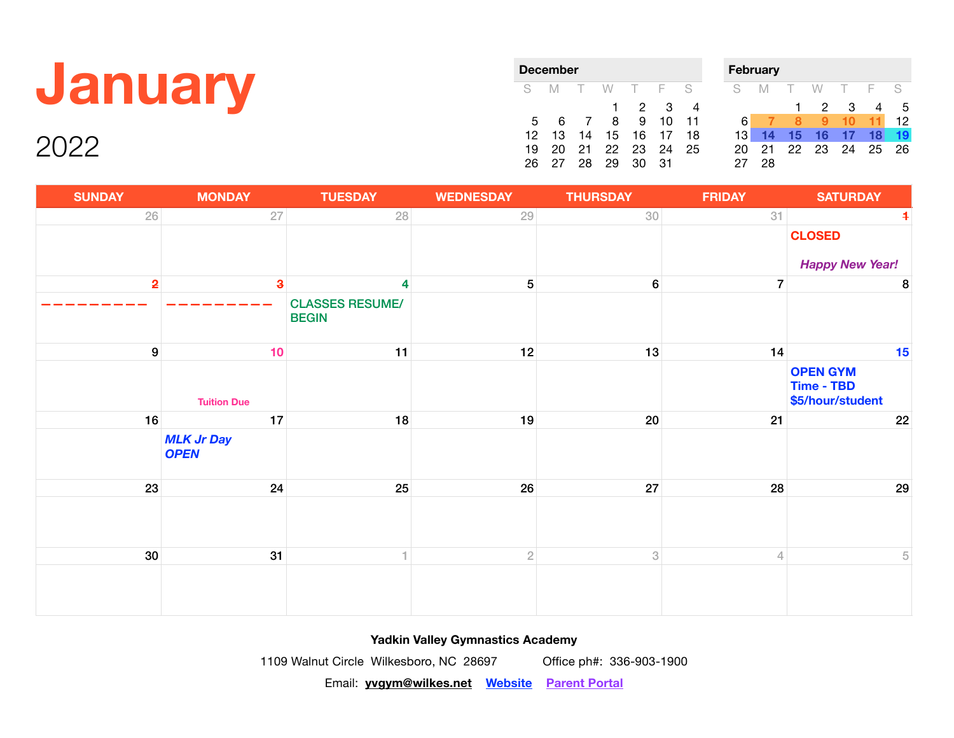### **January**

2022

| December |    |                |    | <b>February</b> |             |     |  |     |     |    |             |       |    |    |
|----------|----|----------------|----|-----------------|-------------|-----|--|-----|-----|----|-------------|-------|----|----|
| S.       | M  |                | W  | T F S           |             |     |  | S.  | M   |    | W           | T F S |    |    |
|          |    |                | 1. |                 | $2 \quad 3$ | 4   |  |     |     | 1. |             | 2 3   | 4  | -5 |
| 5        | 6  | $\overline{7}$ | 8  | 9               | 10          | -11 |  | 6   |     | я  |             | 10    | 11 | 12 |
| 12.      | 13 | 14             | 15 | 16              | 17          | 18  |  | 131 | 14  | 15 | 16          | 17    | 18 | 19 |
| 19       | 20 | 21             |    | 22 23 24        |             | 25  |  | 20  | -21 |    | 22 23 24 25 |       |    | 26 |
| 26       |    | 28             | 29 | 30              | 31          |     |  |     | 28  |    |             |       |    |    |

| <b>SUNDAY</b>           | <b>MONDAY</b>                    | <b>TUESDAY</b>                         | <b>WEDNESDAY</b> | <b>THURSDAY</b>  | <b>FRIDAY</b>  | <b>SATURDAY</b>                                   |
|-------------------------|----------------------------------|----------------------------------------|------------------|------------------|----------------|---------------------------------------------------|
| $26\,$                  | $27\,$                           | 28                                     | 29               | 30               | 31             | $\overline{\mathbf{1}}$                           |
|                         |                                  |                                        |                  |                  |                | <b>CLOSED</b>                                     |
|                         |                                  |                                        |                  |                  |                | <b>Happy New Year!</b>                            |
| $\overline{\mathbf{2}}$ | $\overline{\mathbf{3}}$          | 4                                      | 5 <sup>1</sup>   | $6 \overline{6}$ | $\overline{7}$ | 8                                                 |
|                         |                                  | <b>CLASSES RESUME/</b><br><b>BEGIN</b> |                  |                  |                |                                                   |
| $\boldsymbol{9}$        | 10                               | 11                                     | 12               | 13               | 14             | 15                                                |
|                         | <b>Tuition Due</b>               |                                        |                  |                  |                | <b>OPEN GYM</b><br>Time - TBD<br>\$5/hour/student |
| 16                      | 17                               | 18                                     | 19               | 20               | 21             | 22                                                |
|                         | <b>MLK Jr Day</b><br><b>OPEN</b> |                                        |                  |                  |                |                                                   |
| 23                      | 24                               | 25                                     | 26               | 27               | 28             | 29                                                |
|                         |                                  |                                        |                  |                  |                |                                                   |
| 30 <sup>°</sup>         | 31                               |                                        | $\sqrt{2}$       | 3                | $\overline{4}$ | 5                                                 |
|                         |                                  |                                        |                  |                  |                |                                                   |

**Yadkin Valley Gymnastics Academy** 

1109 Walnut Circle Wilkesboro, NC 28697 Office ph#: 336-903-1900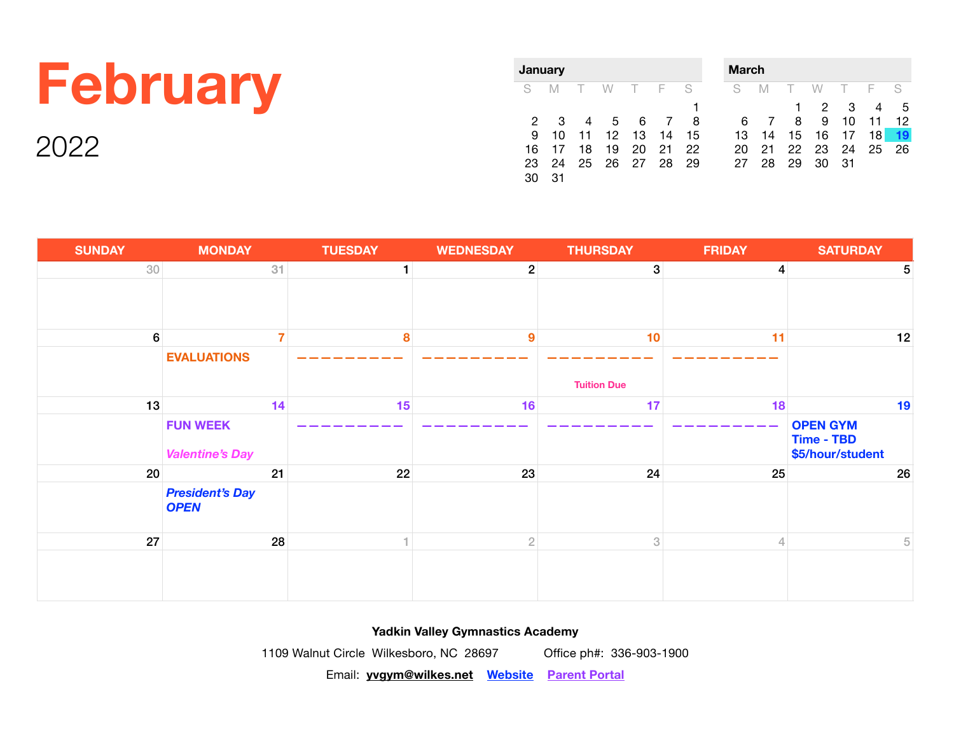## **February**

2022

| <b>January</b> |    |    |                 |        |     |    |  |  |  |  |
|----------------|----|----|-----------------|--------|-----|----|--|--|--|--|
| S              | -M | Т. | <b>W</b>        | $\top$ | - F | S  |  |  |  |  |
|                |    |    |                 |        |     |    |  |  |  |  |
| 2              | З  | 4  | $5\overline{5}$ | 6      | -7  | 8  |  |  |  |  |
| 9              | 10 | 11 | 12              | 13     | 14  | 15 |  |  |  |  |
| 16             | 17 | 18 | 19              | 20     | 21  | 22 |  |  |  |  |
| 23             | 24 | 25 | 26              | 27     | -28 | 29 |  |  |  |  |
|                | 31 |    |                 |        |     |    |  |  |  |  |

| <b>March</b> |    |    |    |    |    |    |  |  |  |  |
|--------------|----|----|----|----|----|----|--|--|--|--|
| S            | M  | T. | W  | T  | E  | S  |  |  |  |  |
|              |    |    | 2  | З  |    | 5  |  |  |  |  |
| 6            |    | 8  | 9  | 10 | 11 | 12 |  |  |  |  |
| 13           | 14 | 15 | 16 | 17 | 18 |    |  |  |  |  |
| 20           | 21 | 22 | 23 | 24 | 25 | 26 |  |  |  |  |
| 27           | 28 | 29 | 30 | 31 |    |    |  |  |  |  |

| <b>SUNDAY</b>    | <b>MONDAY</b>                             | <b>TUESDAY</b> | <b>WEDNESDAY</b> | <b>THURSDAY</b>    | <b>FRIDAY</b>  | <b>SATURDAY</b>                                   |
|------------------|-------------------------------------------|----------------|------------------|--------------------|----------------|---------------------------------------------------|
| 30 <sup>°</sup>  | 31                                        | 1              | $\mathbf{2}$     | $\boldsymbol{3}$   | $\overline{4}$ | 5                                                 |
|                  |                                           |                |                  |                    |                |                                                   |
| $6 \overline{6}$ |                                           | 8              | $\boldsymbol{9}$ | 10                 | 11             | 12                                                |
|                  | <b>EVALUATIONS</b>                        |                |                  |                    |                |                                                   |
|                  |                                           |                |                  | <b>Tuition Due</b> |                |                                                   |
| 13               | 14                                        | 15             | 16               | 17                 | 18             | 19                                                |
|                  | <b>FUN WEEK</b><br><b>Valentine's Day</b> |                |                  |                    |                | <b>OPEN GYM</b><br>Time - TBD<br>\$5/hour/student |
| 20               | 21                                        | 22             | 23               | 24                 | 25             | 26                                                |
|                  | <b>President's Day</b><br><b>OPEN</b>     |                |                  |                    |                |                                                   |
| 27               | 28                                        | 4.             | $\overline{2}$   | 3                  | $\overline{4}$ | $\sqrt{5}$                                        |
|                  |                                           |                |                  |                    |                |                                                   |

### **Yadkin Valley Gymnastics Academy**

1109 Walnut Circle Wilkesboro, NC 28697 Office ph#: 336-903-1900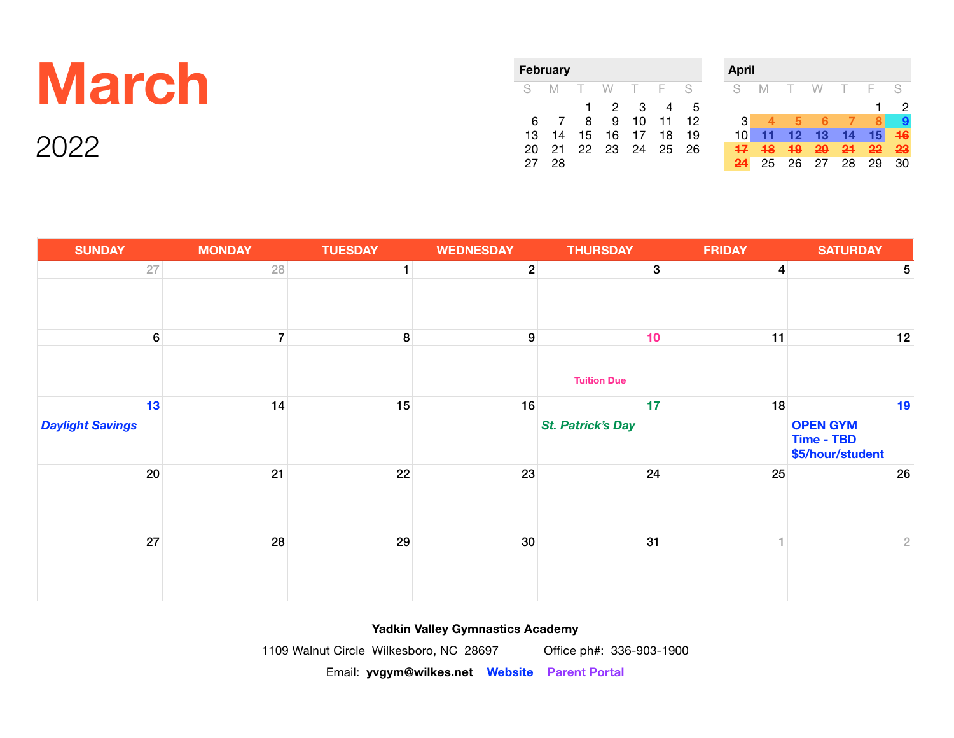## **March**

2022

| February |    |        |    |        |     |    |  |  |  |  |
|----------|----|--------|----|--------|-----|----|--|--|--|--|
| S        | M  | $\top$ | W  | $\top$ | - F | S  |  |  |  |  |
|          |    | 1      | 2  | З      |     | 5  |  |  |  |  |
| 6        |    | 8      | 9  | 10     | 11  | 12 |  |  |  |  |
| 13       | 14 | 15     | 16 | 17     | 18  | 19 |  |  |  |  |
| 20       | 21 | 22     | 23 | 24     | 25  | 26 |  |  |  |  |
|          | 28 |        |    |        |     |    |  |  |  |  |



| <b>SUNDAY</b>           | <b>MONDAY</b>  | <b>TUESDAY</b> | <b>WEDNESDAY</b> | <b>THURSDAY</b>          | <b>FRIDAY</b>  | <b>SATURDAY</b>                                   |
|-------------------------|----------------|----------------|------------------|--------------------------|----------------|---------------------------------------------------|
| 27                      | 28             | $\mathbf{1}$   | $\overline{2}$   | 3                        | $\overline{4}$ | $\sqrt{5}$                                        |
|                         |                |                |                  |                          |                |                                                   |
| $6\phantom{.}6$         | 7 <sup>1</sup> | 8              | $\boldsymbol{9}$ | 10                       | 11             | 12                                                |
|                         |                |                |                  | <b>Tuition Due</b>       |                |                                                   |
| 13                      | 14             | 15             | 16               | 17                       | 18             | 19                                                |
| <b>Daylight Savings</b> |                |                |                  | <b>St. Patrick's Day</b> |                | <b>OPEN GYM</b><br>Time - TBD<br>\$5/hour/student |
| 20                      | 21             | 22             | 23               | 24                       | 25             | 26                                                |
|                         |                |                |                  |                          |                |                                                   |
| 27                      | 28             | 29             | 30 <sup>°</sup>  | 31                       | $\mathcal{A}$  | $\overline{2}$                                    |
|                         |                |                |                  |                          |                |                                                   |

**Yadkin Valley Gymnastics Academy** 

1109 Walnut Circle Wilkesboro, NC 28697 Office ph#: 336-903-1900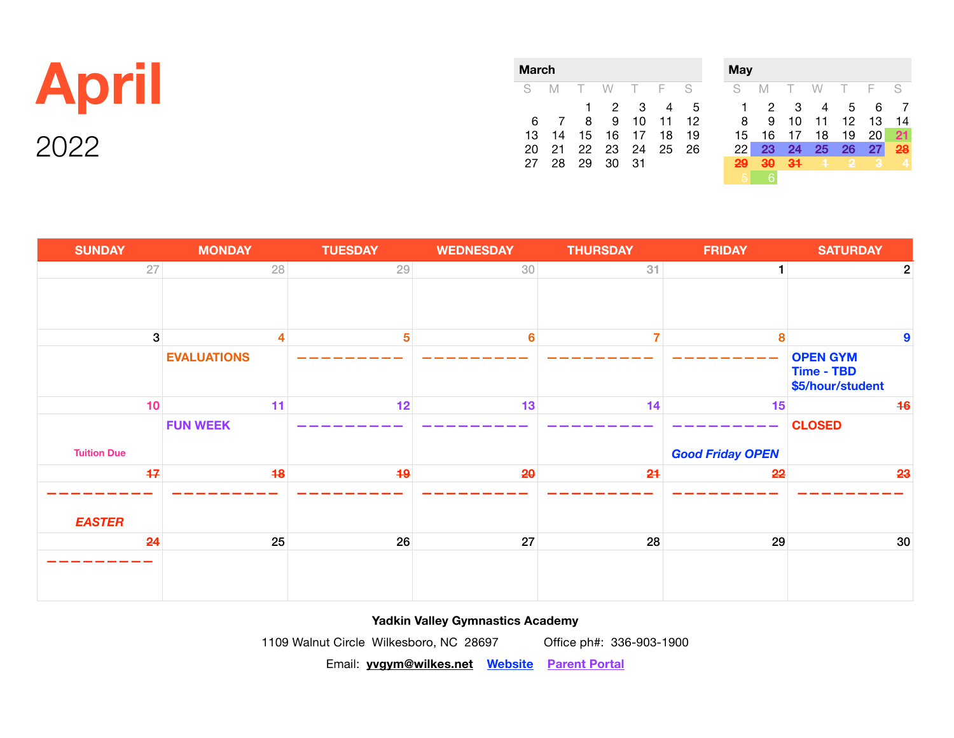| <b>April</b> |  |
|--------------|--|
| 2022         |  |

| <b>March</b> |    |              |          |        |      |    |  |  |  |  |
|--------------|----|--------------|----------|--------|------|----|--|--|--|--|
| S            | M  | $\top$       | W        | $\top$ | $-$  | S  |  |  |  |  |
|              |    | $\mathbf{1}$ | 2        | 3      | 4    | 5  |  |  |  |  |
| 6            | -7 | 8            | 9        | 10     | 11   | 12 |  |  |  |  |
| 13           | 14 | 15           | 16       | 17     | 18   | 19 |  |  |  |  |
| 20           | 21 |              | 22 23 24 |        | - 25 | 26 |  |  |  |  |
| 27           | 28 | 29           | 30       | 31     |      |    |  |  |  |  |

| <b>May</b> |    |    |    |    |    |    |
|------------|----|----|----|----|----|----|
| S          | M  |    | W  |    | F  | S  |
| 1          | 2  | 3  |    | 5  | 6  |    |
| 8          | 9  | 10 | 11 | 12 | 13 | 14 |
| 15         | 16 | 17 | 18 | 19 | 20 | 21 |
| 22         | 23 | 24 | 25 | 26 | 27 | 28 |
| 29         | 30 | 31 | n  | 2  | 3  | 4  |
| 5          |    |    |    |    |    |    |

| <b>SUNDAY</b>      | <b>MONDAY</b>      | <b>TUESDAY</b> | <b>WEDNESDAY</b> | <b>THURSDAY</b> | <b>FRIDAY</b>           | <b>SATURDAY</b>                                   |                |
|--------------------|--------------------|----------------|------------------|-----------------|-------------------------|---------------------------------------------------|----------------|
| 27                 | 28                 | 29             | 30               | 31              | 1                       |                                                   | $\overline{c}$ |
|                    |                    |                |                  |                 |                         |                                                   |                |
|                    |                    |                |                  |                 |                         |                                                   |                |
| $\boldsymbol{3}$   | 4                  | $5\phantom{1}$ | $6\phantom{a}$   | 7               | 8                       |                                                   | 9              |
|                    | <b>EVALUATIONS</b> |                |                  |                 |                         | <b>OPEN GYM</b><br>Time - TBD<br>\$5/hour/student |                |
| 10                 | 11                 | 12             | 13               | 14              | 15                      | 46                                                |                |
|                    | <b>FUN WEEK</b>    |                |                  |                 |                         | <b>CLOSED</b>                                     |                |
| <b>Tuition Due</b> |                    |                |                  |                 | <b>Good Friday OPEN</b> |                                                   |                |
| 47                 | 48                 | 49             | 20               | 24              | 22                      | 23                                                |                |
|                    |                    |                |                  |                 |                         |                                                   |                |
| <b>EASTER</b>      |                    |                |                  |                 |                         |                                                   |                |
| 24                 | 25                 | 26             | 27               | 28              | 29                      | 30                                                |                |
|                    |                    |                |                  |                 |                         |                                                   |                |

**Yadkin Valley Gymnastics Academy** 

1109 Walnut Circle Wilkesboro, NC 28697 Office ph#: 336-903-1900